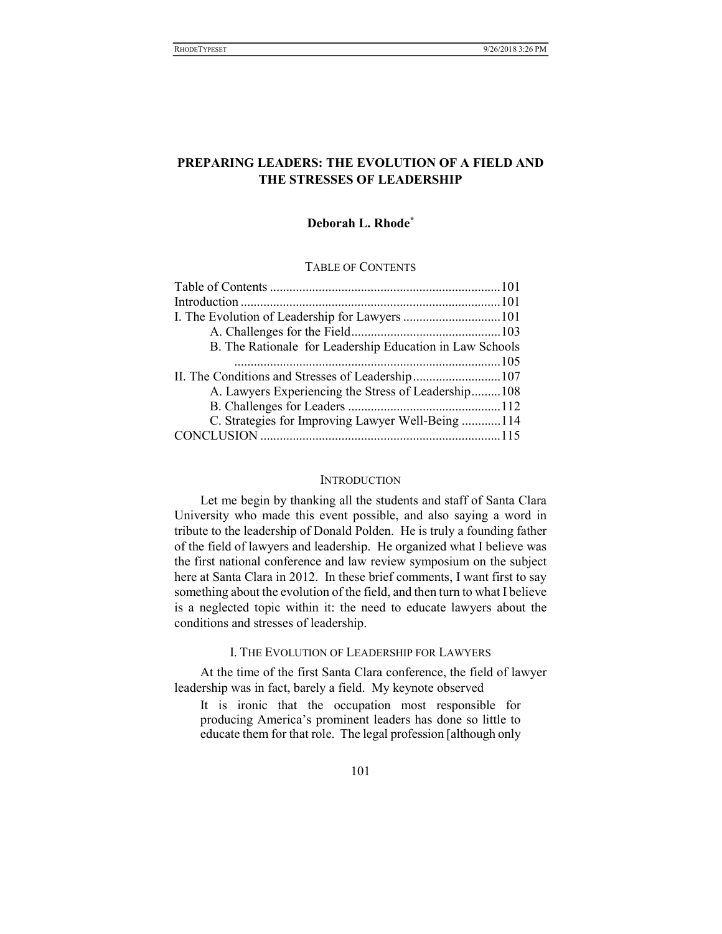# PREPARING LEADERS: THE EVOLUTION OF A FIELD AND THE STRESSES OF LEADERSHIP

# Deborah L. Rhode\*

# TABLE OF CONTENTS

| B. The Rationale for Leadership Education in Law Schools |  |
|----------------------------------------------------------|--|
|                                                          |  |
| II. The Conditions and Stresses of Leadership107         |  |
| A. Lawyers Experiencing the Stress of Leadership108      |  |
|                                                          |  |
| C. Strategies for Improving Lawyer Well-Being 114        |  |
|                                                          |  |

## **INTRODUCTION**

Let me begin by thanking all the students and staff of Santa Clara University who made this event possible, and also saying a word in tribute to the leadership of Donald Polden. He is truly a founding father of the field of lawyers and leadership. He organized what I believe was the first national conference and law review symposium on the subject here at Santa Clara in 2012. In these brief comments, I want first to say something about the evolution of the field, and then turn to what I believe is a neglected topic within it: the need to educate lawyers about the conditions and stresses of leadership.

# I. THE EVOLUTION OF LEADERSHIP FOR LAWYERS

At the time of the first Santa Clara conference, the field of lawyer leadership was in fact, barely a field. My keynote observed

It is ironic that the occupation most responsible for producing America's prominent leaders has done so little to educate them for that role. The legal profession [although only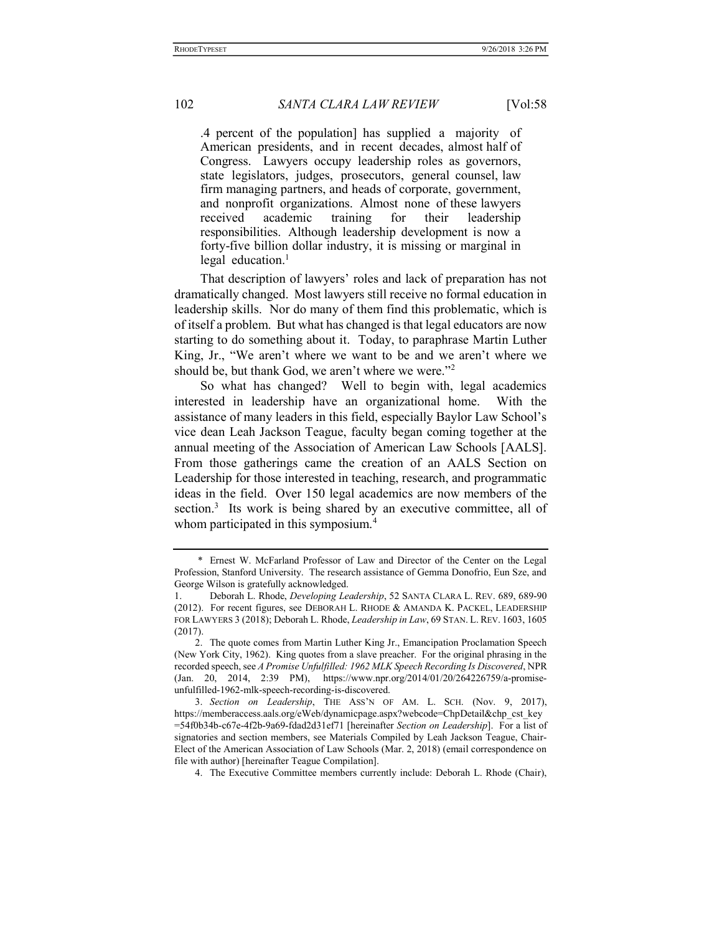.4 percent of the population] has supplied a majority of American presidents, and in recent decades, almost half of Congress. Lawyers occupy leadership roles as governors, state legislators, judges, prosecutors, general counsel, law firm managing partners, and heads of corporate, government, and nonprofit organizations. Almost none of these lawyers received academic training for their leadership responsibilities. Although leadership development is now a forty-five billion dollar industry, it is missing or marginal in legal education. $<sup>1</sup>$ </sup>

That description of lawyers' roles and lack of preparation has not dramatically changed. Most lawyers still receive no formal education in leadership skills. Nor do many of them find this problematic, which is of itself a problem. But what has changed is that legal educators are now starting to do something about it. Today, to paraphrase Martin Luther King, Jr., "We aren't where we want to be and we aren't where we should be, but thank God, we aren't where we were."<sup>2</sup>

So what has changed? Well to begin with, legal academics interested in leadership have an organizational home. With the assistance of many leaders in this field, especially Baylor Law School's vice dean Leah Jackson Teague, faculty began coming together at the annual meeting of the Association of American Law Schools [AALS]. From those gatherings came the creation of an AALS Section on Leadership for those interested in teaching, research, and programmatic ideas in the field. Over 150 legal academics are now members of the section.<sup>3</sup> Its work is being shared by an executive committee, all of whom participated in this symposium.<sup>4</sup>

 <sup>\*</sup> Ernest W. McFarland Professor of Law and Director of the Center on the Legal Profession, Stanford University. The research assistance of Gemma Donofrio, Eun Sze, and George Wilson is gratefully acknowledged.

<sup>1.</sup> Deborah L. Rhode, *Developing Leadership*, 52 SANTA CLARA L. REV. 689, 689-90 (2012). For recent figures, see DEBORAH L. RHODE & AMANDA K. PACKEL, LEADERSHIP FOR LAWYERS 3 (2018); Deborah L. Rhode, Leadership in Law, 69 STAN. L. REV. 1603, 1605 (2017).

 <sup>2.</sup> The quote comes from Martin Luther King Jr., Emancipation Proclamation Speech (New York City, 1962). King quotes from a slave preacher. For the original phrasing in the recorded speech, see A Promise Unfulfilled: 1962 MLK Speech Recording Is Discovered, NPR (Jan. 20, 2014, 2:39 PM), https://www.npr.org/2014/01/20/264226759/a-promiseunfulfilled-1962-mlk-speech-recording-is-discovered.

 <sup>3.</sup> Section on Leadership, THE ASS'N OF AM. L. SCH. (Nov. 9, 2017), https://memberaccess.aals.org/eWeb/dynamicpage.aspx?webcode=ChpDetail&chp\_cst\_key =54f0b34b-c67e-4f2b-9a69-fdad2d31ef71 [hereinafter Section on Leadership]. For a list of signatories and section members, see Materials Compiled by Leah Jackson Teague, Chair-Elect of the American Association of Law Schools (Mar. 2, 2018) (email correspondence on file with author) [hereinafter Teague Compilation].

 <sup>4.</sup> The Executive Committee members currently include: Deborah L. Rhode (Chair),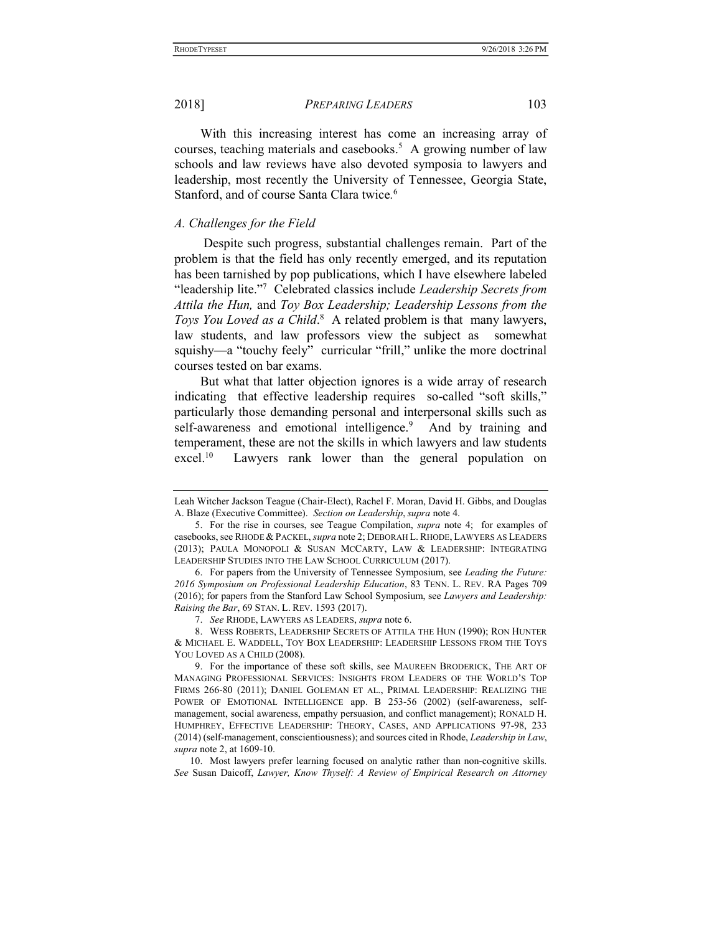With this increasing interest has come an increasing array of courses, teaching materials and casebooks.<sup>5</sup> A growing number of law schools and law reviews have also devoted symposia to lawyers and leadership, most recently the University of Tennessee, Georgia State, Stanford, and of course Santa Clara twice. 6

## A. Challenges for the Field

 Despite such progress, substantial challenges remain. Part of the problem is that the field has only recently emerged, and its reputation has been tarnished by pop publications, which I have elsewhere labeled "leadership lite."<sup>7</sup> Celebrated classics include Leadership Secrets from Attila the Hun, and Toy Box Leadership; Leadership Lessons from the Toys You Loved as a Child.<sup>8</sup> A related problem is that many lawyers, law students, and law professors view the subject as somewhat squishy—a "touchy feely" curricular "frill," unlike the more doctrinal courses tested on bar exams.

But what that latter objection ignores is a wide array of research indicating that effective leadership requires so-called "soft skills," particularly those demanding personal and interpersonal skills such as self-awareness and emotional intelligence.<sup>9</sup> And by training and temperament, these are not the skills in which lawyers and law students excel.<sup>10</sup> Lawyers rank lower than the general population on

Leah Witcher Jackson Teague (Chair-Elect), Rachel F. Moran, David H. Gibbs, and Douglas A. Blaze (Executive Committee). Section on Leadership, supra note 4.

 <sup>5.</sup> For the rise in courses, see Teague Compilation, supra note 4; for examples of casebooks, see RHODE & PACKEL, supra note 2; DEBORAH L. RHODE, LAWYERS AS LEADERS (2013); PAULA MONOPOLI & SUSAN MCCARTY, LAW & LEADERSHIP: INTEGRATING LEADERSHIP STUDIES INTO THE LAW SCHOOL CURRICULUM (2017).

 <sup>6.</sup> For papers from the University of Tennessee Symposium, see Leading the Future: 2016 Symposium on Professional Leadership Education, 83 TENN. L. REV. RA Pages 709 (2016); for papers from the Stanford Law School Symposium, see Lawyers and Leadership: Raising the Bar, 69 STAN. L. REV. 1593 (2017).

 <sup>7.</sup> See RHODE, LAWYERS AS LEADERS, supra note 6.

 <sup>8.</sup> WESS ROBERTS, LEADERSHIP SECRETS OF ATTILA THE HUN (1990); RON HUNTER & MICHAEL E. WADDELL, TOY BOX LEADERSHIP: LEADERSHIP LESSONS FROM THE TOYS YOU LOVED AS A CHILD (2008).

 <sup>9.</sup> For the importance of these soft skills, see MAUREEN BRODERICK, THE ART OF MANAGING PROFESSIONAL SERVICES: INSIGHTS FROM LEADERS OF THE WORLD'S TOP FIRMS 266-80 (2011); DANIEL GOLEMAN ET AL., PRIMAL LEADERSHIP: REALIZING THE POWER OF EMOTIONAL INTELLIGENCE app. B 253-56 (2002) (self-awareness, selfmanagement, social awareness, empathy persuasion, and conflict management); RONALD H. HUMPHREY, EFFECTIVE LEADERSHIP: THEORY, CASES, AND APPLICATIONS 97-98, 233 (2014) (self-management, conscientiousness); and sources cited in Rhode, Leadership in Law, supra note 2, at 1609-10.

 <sup>10.</sup> Most lawyers prefer learning focused on analytic rather than non-cognitive skills. See Susan Daicoff, Lawyer, Know Thyself: A Review of Empirical Research on Attorney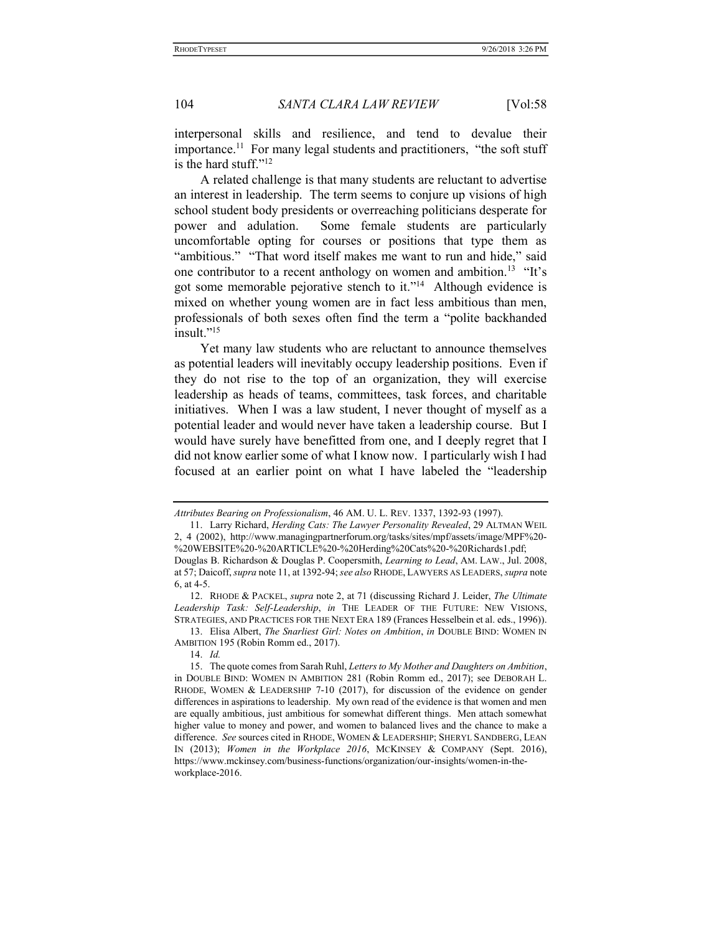interpersonal skills and resilience, and tend to devalue their importance.<sup>11</sup> For many legal students and practitioners, "the soft stuff is the hard stuff."<sup>12</sup>

A related challenge is that many students are reluctant to advertise an interest in leadership. The term seems to conjure up visions of high school student body presidents or overreaching politicians desperate for power and adulation. Some female students are particularly uncomfortable opting for courses or positions that type them as "ambitious." "That word itself makes me want to run and hide," said one contributor to a recent anthology on women and ambition.<sup>13</sup> "It's got some memorable pejorative stench to it."<sup>14</sup> Although evidence is mixed on whether young women are in fact less ambitious than men, professionals of both sexes often find the term a "polite backhanded insult."<sup>15</sup>

Yet many law students who are reluctant to announce themselves as potential leaders will inevitably occupy leadership positions. Even if they do not rise to the top of an organization, they will exercise leadership as heads of teams, committees, task forces, and charitable initiatives. When I was a law student, I never thought of myself as a potential leader and would never have taken a leadership course. But I would have surely have benefitted from one, and I deeply regret that I did not know earlier some of what I know now. I particularly wish I had focused at an earlier point on what I have labeled the "leadership

Attributes Bearing on Professionalism, 46 AM. U. L. REV. 1337, 1392-93 (1997).

 <sup>11.</sup> Larry Richard, Herding Cats: The Lawyer Personality Revealed, 29 ALTMAN WEIL 2, 4 (2002), http://www.managingpartnerforum.org/tasks/sites/mpf/assets/image/MPF%20- %20WEBSITE%20-%20ARTICLE%20-%20Herding%20Cats%20-%20Richards1.pdf; Douglas B. Richardson & Douglas P. Coopersmith, Learning to Lead, AM. LAW., Jul. 2008,

at 57; Daicoff, supra note 11, at 1392-94; see also RHODE, LAWYERS AS LEADERS, supra note 6, at 4-5.

 <sup>12.</sup> RHODE & PACKEL, supra note 2, at 71 (discussing Richard J. Leider, The Ultimate Leadership Task: Self-Leadership, in THE LEADER OF THE FUTURE: NEW VISIONS, STRATEGIES, AND PRACTICES FOR THE NEXT ERA 189 (Frances Hesselbein et al. eds., 1996)).

<sup>13.</sup> Elisa Albert, The Snarliest Girl: Notes on Ambition, in DOUBLE BIND: WOMEN IN AMBITION 195 (Robin Romm ed., 2017).

 <sup>14.</sup> Id.

 <sup>15.</sup> The quote comes from Sarah Ruhl, Letters to My Mother and Daughters on Ambition, in DOUBLE BIND: WOMEN IN AMBITION 281 (Robin Romm ed., 2017); see DEBORAH L. RHODE, WOMEN & LEADERSHIP 7-10 (2017), for discussion of the evidence on gender differences in aspirations to leadership. My own read of the evidence is that women and men are equally ambitious, just ambitious for somewhat different things. Men attach somewhat higher value to money and power, and women to balanced lives and the chance to make a difference. See sources cited in RHODE, WOMEN & LEADERSHIP; SHERYL SANDBERG, LEAN IN (2013); Women in the Workplace 2016, MCKINSEY & COMPANY (Sept. 2016), https://www.mckinsey.com/business-functions/organization/our-insights/women-in-theworkplace-2016.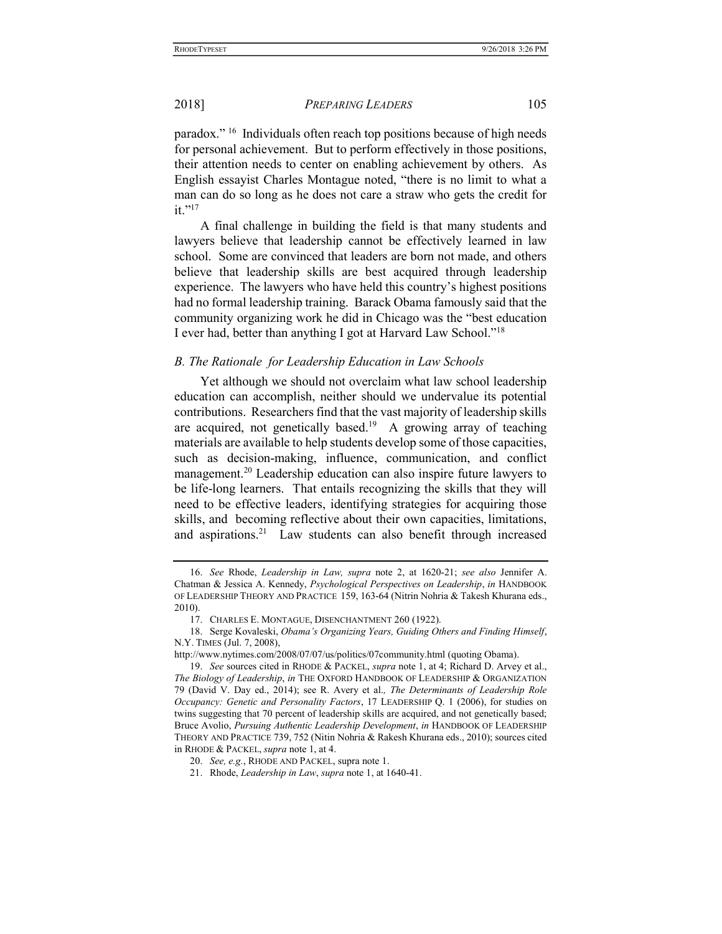paradox." <sup>16</sup> Individuals often reach top positions because of high needs for personal achievement. But to perform effectively in those positions, their attention needs to center on enabling achievement by others. As English essayist Charles Montague noted, "there is no limit to what a man can do so long as he does not care a straw who gets the credit for it."<sup>17</sup>

A final challenge in building the field is that many students and lawyers believe that leadership cannot be effectively learned in law school. Some are convinced that leaders are born not made, and others believe that leadership skills are best acquired through leadership experience. The lawyers who have held this country's highest positions had no formal leadership training. Barack Obama famously said that the community organizing work he did in Chicago was the "best education I ever had, better than anything I got at Harvard Law School."<sup>18</sup>

### B. The Rationale for Leadership Education in Law Schools

Yet although we should not overclaim what law school leadership education can accomplish, neither should we undervalue its potential contributions. Researchers find that the vast majority of leadership skills are acquired, not genetically based.<sup>19</sup> A growing array of teaching materials are available to help students develop some of those capacities, such as decision-making, influence, communication, and conflict management.<sup>20</sup> Leadership education can also inspire future lawyers to be life-long learners. That entails recognizing the skills that they will need to be effective leaders, identifying strategies for acquiring those skills, and becoming reflective about their own capacities, limitations, and aspirations.<sup>21</sup> Law students can also benefit through increased

 <sup>16.</sup> See Rhode, Leadership in Law, supra note 2, at 1620-21; see also Jennifer A. Chatman & Jessica A. Kennedy, Psychological Perspectives on Leadership, in HANDBOOK OF LEADERSHIP THEORY AND PRACTICE 159, 163-64 (Nitrin Nohria & Takesh Khurana eds., 2010).

 <sup>17.</sup> CHARLES E. MONTAGUE, DISENCHANTMENT 260 (1922).

 <sup>18.</sup> Serge Kovaleski, Obama's Organizing Years, Guiding Others and Finding Himself, N.Y. TIMES (Jul. 7, 2008),

http://www.nytimes.com/2008/07/07/us/politics/07community.html (quoting Obama).

 <sup>19.</sup> See sources cited in RHODE & PACKEL, supra note 1, at 4; Richard D. Arvey et al., The Biology of Leadership, in THE OXFORD HANDBOOK OF LEADERSHIP & ORGANIZATION 79 (David V. Day ed., 2014); see R. Avery et al., The Determinants of Leadership Role Occupancy: Genetic and Personality Factors, 17 LEADERSHIP Q. 1 (2006), for studies on twins suggesting that 70 percent of leadership skills are acquired, and not genetically based; Bruce Avolio, Pursuing Authentic Leadership Development, in HANDBOOK OF LEADERSHIP THEORY AND PRACTICE 739, 752 (Nitin Nohria & Rakesh Khurana eds., 2010); sources cited in RHODE & PACKEL, supra note 1, at 4.

 <sup>20.</sup> See, e.g., RHODE AND PACKEL, supra note 1.

 <sup>21.</sup> Rhode, Leadership in Law, supra note 1, at 1640-41.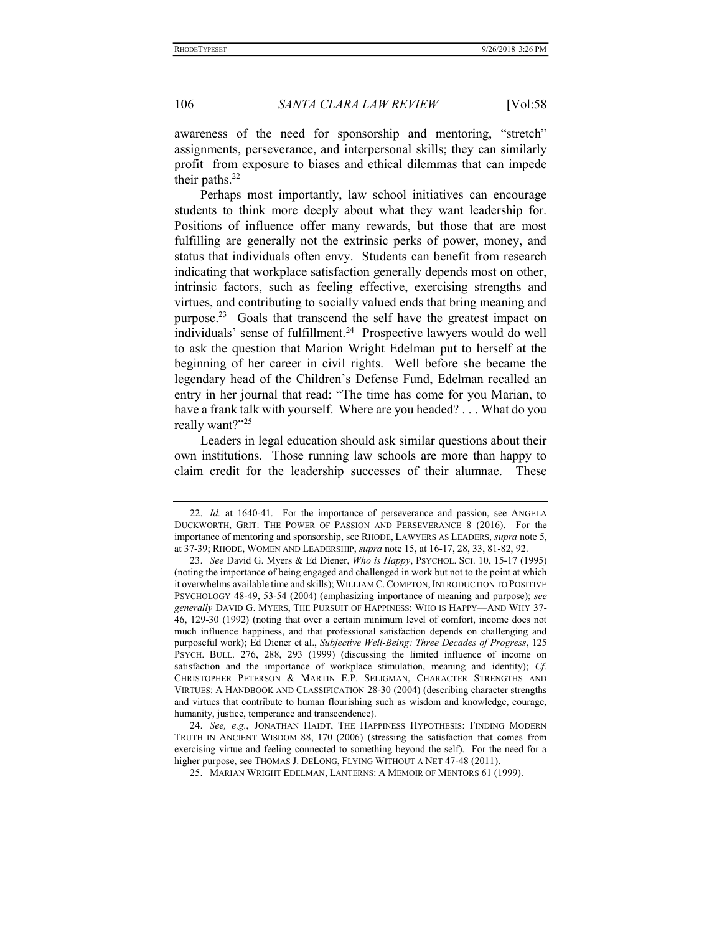awareness of the need for sponsorship and mentoring, "stretch" assignments, perseverance, and interpersonal skills; they can similarly profit from exposure to biases and ethical dilemmas that can impede their paths.<sup>22</sup>

Perhaps most importantly, law school initiatives can encourage students to think more deeply about what they want leadership for. Positions of influence offer many rewards, but those that are most fulfilling are generally not the extrinsic perks of power, money, and status that individuals often envy. Students can benefit from research indicating that workplace satisfaction generally depends most on other, intrinsic factors, such as feeling effective, exercising strengths and virtues, and contributing to socially valued ends that bring meaning and purpose.<sup>23</sup> Goals that transcend the self have the greatest impact on individuals' sense of fulfillment.<sup>24</sup> Prospective lawyers would do well to ask the question that Marion Wright Edelman put to herself at the beginning of her career in civil rights. Well before she became the legendary head of the Children's Defense Fund, Edelman recalled an entry in her journal that read: "The time has come for you Marian, to have a frank talk with yourself. Where are you headed? . . . What do you really want?"25

Leaders in legal education should ask similar questions about their own institutions. Those running law schools are more than happy to claim credit for the leadership successes of their alumnae. These

 <sup>22.</sup> Id. at 1640-41. For the importance of perseverance and passion, see ANGELA DUCKWORTH, GRIT: THE POWER OF PASSION AND PERSEVERANCE 8 (2016). For the importance of mentoring and sponsorship, see RHODE, LAWYERS AS LEADERS, supra note 5, at 37-39; RHODE, WOMEN AND LEADERSHIP, supra note 15, at 16-17, 28, 33, 81-82, 92.

<sup>23.</sup> See David G. Myers & Ed Diener, Who is Happy, PSYCHOL. SCI. 10, 15-17 (1995) (noting the importance of being engaged and challenged in work but not to the point at which it overwhelms available time and skills); WILLIAM C.COMPTON,INTRODUCTION TO POSITIVE PSYCHOLOGY 48-49, 53-54 (2004) (emphasizing importance of meaning and purpose); see generally DAVID G. MYERS, THE PURSUIT OF HAPPINESS: WHO IS HAPPY—AND WHY 37- 46, 129-30 (1992) (noting that over a certain minimum level of comfort, income does not much influence happiness, and that professional satisfaction depends on challenging and purposeful work); Ed Diener et al., Subjective Well-Being: Three Decades of Progress, 125 PSYCH. BULL. 276, 288, 293 (1999) (discussing the limited influence of income on satisfaction and the importance of workplace stimulation, meaning and identity); Cf. CHRISTOPHER PETERSON & MARTIN E.P. SELIGMAN, CHARACTER STRENGTHS AND VIRTUES: A HANDBOOK AND CLASSIFICATION 28-30 (2004) (describing character strengths and virtues that contribute to human flourishing such as wisdom and knowledge, courage, humanity, justice, temperance and transcendence).

<sup>24.</sup> See, e.g., JONATHAN HAIDT, THE HAPPINESS HYPOTHESIS: FINDING MODERN TRUTH IN ANCIENT WISDOM 88, 170 (2006) (stressing the satisfaction that comes from exercising virtue and feeling connected to something beyond the self). For the need for a higher purpose, see THOMAS J. DELONG, FLYING WITHOUT A NET 47-48 (2011).

 <sup>25.</sup> MARIAN WRIGHT EDELMAN, LANTERNS: A MEMOIR OF MENTORS 61 (1999).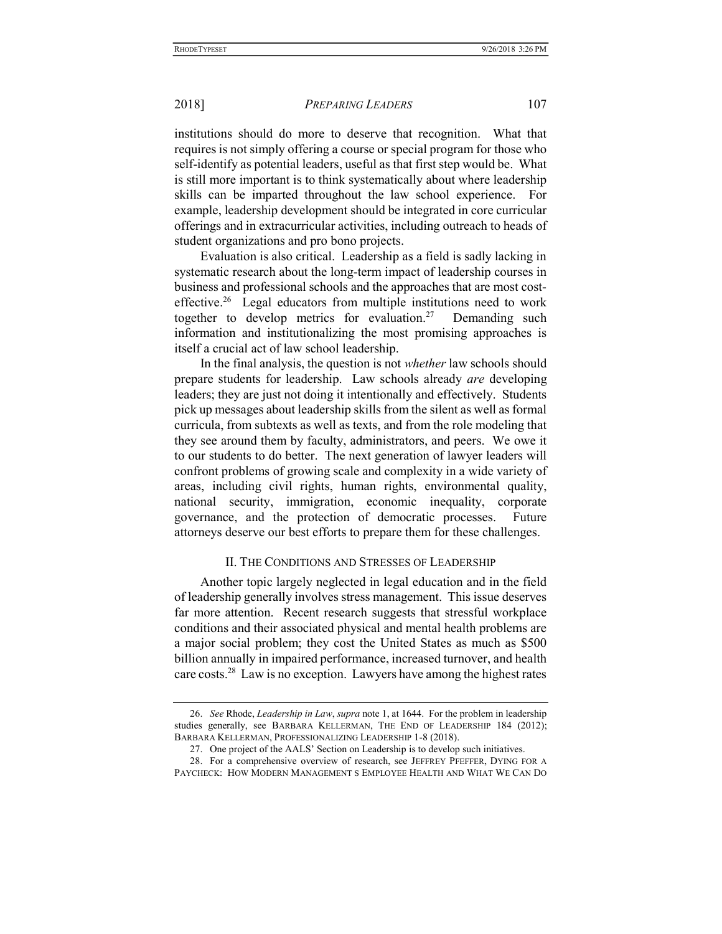institutions should do more to deserve that recognition. What that requires is not simply offering a course or special program for those who self-identify as potential leaders, useful as that first step would be. What is still more important is to think systematically about where leadership skills can be imparted throughout the law school experience. For example, leadership development should be integrated in core curricular offerings and in extracurricular activities, including outreach to heads of student organizations and pro bono projects.

Evaluation is also critical. Leadership as a field is sadly lacking in systematic research about the long-term impact of leadership courses in business and professional schools and the approaches that are most costeffective.<sup>26</sup> Legal educators from multiple institutions need to work together to develop metrics for evaluation.<sup>27</sup> Demanding such information and institutionalizing the most promising approaches is itself a crucial act of law school leadership.

In the final analysis, the question is not whether law schools should prepare students for leadership. Law schools already are developing leaders; they are just not doing it intentionally and effectively. Students pick up messages about leadership skills from the silent as well as formal curricula, from subtexts as well as texts, and from the role modeling that they see around them by faculty, administrators, and peers. We owe it to our students to do better. The next generation of lawyer leaders will confront problems of growing scale and complexity in a wide variety of areas, including civil rights, human rights, environmental quality, national security, immigration, economic inequality, corporate governance, and the protection of democratic processes. Future attorneys deserve our best efforts to prepare them for these challenges.

## II. THE CONDITIONS AND STRESSES OF LEADERSHIP

Another topic largely neglected in legal education and in the field of leadership generally involves stress management. This issue deserves far more attention. Recent research suggests that stressful workplace conditions and their associated physical and mental health problems are a major social problem; they cost the United States as much as \$500 billion annually in impaired performance, increased turnover, and health care costs.<sup>28</sup> Law is no exception. Lawyers have among the highest rates

 <sup>26.</sup> See Rhode, Leadership in Law, supra note 1, at 1644. For the problem in leadership studies generally, see BARBARA KELLERMAN, THE END OF LEADERSHIP 184 (2012); BARBARA KELLERMAN, PROFESSIONALIZING LEADERSHIP 1-8 (2018).

 <sup>27.</sup> One project of the AALS' Section on Leadership is to develop such initiatives.

 <sup>28.</sup> For a comprehensive overview of research, see JEFFREY PFEFFER, DYING FOR A PAYCHECK: HOW MODERN MANAGEMENT S EMPLOYEE HEALTH AND WHAT WE CAN DO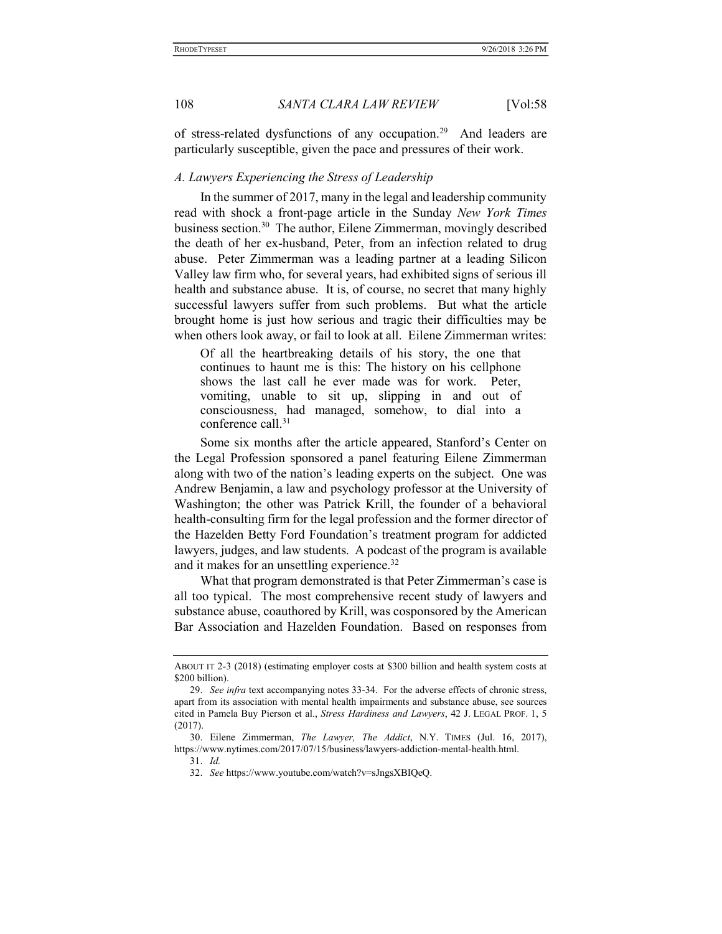of stress-related dysfunctions of any occupation.<sup>29</sup> And leaders are particularly susceptible, given the pace and pressures of their work.

### A. Lawyers Experiencing the Stress of Leadership

In the summer of 2017, many in the legal and leadership community read with shock a front-page article in the Sunday New York Times business section.<sup>30</sup> The author, Eilene Zimmerman, movingly described the death of her ex-husband, Peter, from an infection related to drug abuse. Peter Zimmerman was a leading partner at a leading Silicon Valley law firm who, for several years, had exhibited signs of serious ill health and substance abuse. It is, of course, no secret that many highly successful lawyers suffer from such problems. But what the article brought home is just how serious and tragic their difficulties may be when others look away, or fail to look at all. Eilene Zimmerman writes:

Of all the heartbreaking details of his story, the one that continues to haunt me is this: The history on his cellphone shows the last call he ever made was for work. Peter, vomiting, unable to sit up, slipping in and out of consciousness, had managed, somehow, to dial into a conference call.<sup>31</sup>

Some six months after the article appeared, Stanford's Center on the Legal Profession sponsored a panel featuring Eilene Zimmerman along with two of the nation's leading experts on the subject. One was Andrew Benjamin, a law and psychology professor at the University of Washington; the other was Patrick Krill, the founder of a behavioral health-consulting firm for the legal profession and the former director of the Hazelden Betty Ford Foundation's treatment program for addicted lawyers, judges, and law students. A podcast of the program is available and it makes for an unsettling experience.<sup>32</sup>

What that program demonstrated is that Peter Zimmerman's case is all too typical. The most comprehensive recent study of lawyers and substance abuse, coauthored by Krill, was cosponsored by the American Bar Association and Hazelden Foundation. Based on responses from

ABOUT IT 2-3 (2018) (estimating employer costs at \$300 billion and health system costs at \$200 billion).

<sup>29.</sup> See infra text accompanying notes 33-34. For the adverse effects of chronic stress, apart from its association with mental health impairments and substance abuse, see sources cited in Pamela Buy Pierson et al., Stress Hardiness and Lawyers, 42 J. LEGAL PROF. 1, 5 (2017).

 <sup>30.</sup> Eilene Zimmerman, The Lawyer, The Addict, N.Y. TIMES (Jul. 16, 2017), https://www.nytimes.com/2017/07/15/business/lawyers-addiction-mental-health.html.

 <sup>31.</sup> Id.

 <sup>32.</sup> See https://www.youtube.com/watch?v=sJngsXBIQeQ.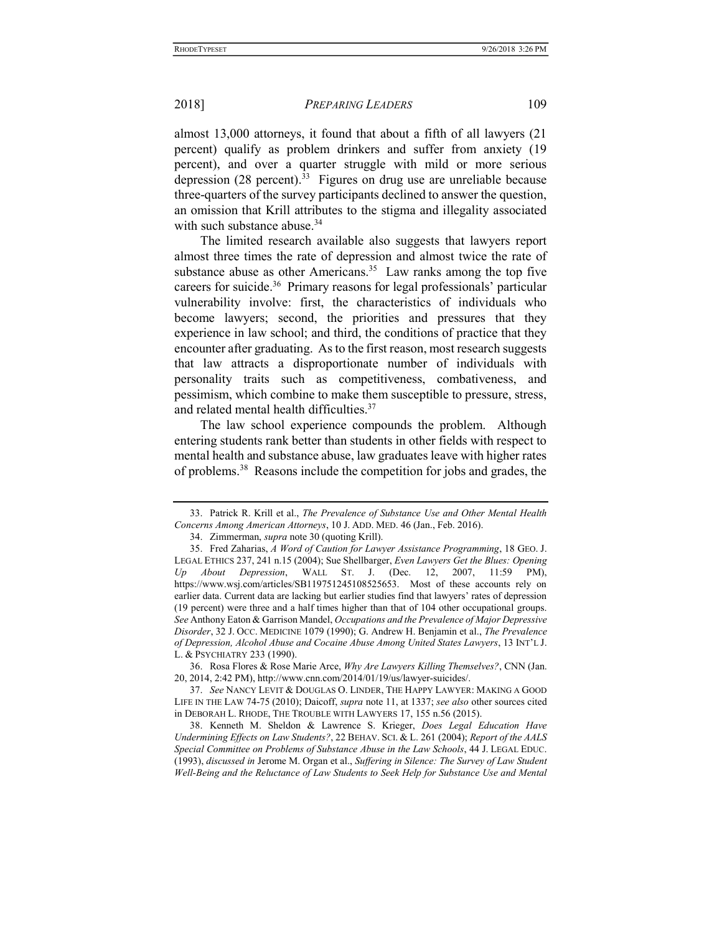almost 13,000 attorneys, it found that about a fifth of all lawyers (21 percent) qualify as problem drinkers and suffer from anxiety (19 percent), and over a quarter struggle with mild or more serious depression  $(28 \text{ percent})^{33}$  Figures on drug use are unreliable because three-quarters of the survey participants declined to answer the question, an omission that Krill attributes to the stigma and illegality associated with such substance abuse.<sup>34</sup>

The limited research available also suggests that lawyers report almost three times the rate of depression and almost twice the rate of substance abuse as other Americans.<sup>35</sup> Law ranks among the top five careers for suicide.<sup>36</sup> Primary reasons for legal professionals' particular vulnerability involve: first, the characteristics of individuals who become lawyers; second, the priorities and pressures that they experience in law school; and third, the conditions of practice that they encounter after graduating. As to the first reason, most research suggests that law attracts a disproportionate number of individuals with personality traits such as competitiveness, combativeness, and pessimism, which combine to make them susceptible to pressure, stress, and related mental health difficulties.<sup>37</sup>

The law school experience compounds the problem. Although entering students rank better than students in other fields with respect to mental health and substance abuse, law graduates leave with higher rates of problems.<sup>38</sup> Reasons include the competition for jobs and grades, the

 <sup>33.</sup> Patrick R. Krill et al., The Prevalence of Substance Use and Other Mental Health Concerns Among American Attorneys, 10 J. ADD. MED. 46 (Jan., Feb. 2016).

 <sup>34.</sup> Zimmerman, supra note 30 (quoting Krill).

 <sup>35.</sup> Fred Zaharias, A Word of Caution for Lawyer Assistance Programming, 18 GEO. J. LEGAL ETHICS 237, 241 n.15 (2004); Sue Shellbarger, Even Lawyers Get the Blues: Opening About Depression, WALL ST. J. (Dec. 12, 2007, 11:59 PM), https://www.wsj.com/articles/SB119751245108525653. Most of these accounts rely on earlier data. Current data are lacking but earlier studies find that lawyers' rates of depression (19 percent) were three and a half times higher than that of 104 other occupational groups. See Anthony Eaton & Garrison Mandel, Occupations and the Prevalence of Major Depressive Disorder, 32 J. OCC. MEDICINE 1079 (1990); G. Andrew H. Benjamin et al., The Prevalence of Depression, Alcohol Abuse and Cocaine Abuse Among United States Lawyers, 13 INT'L J. L. & PSYCHIATRY 233 (1990).

 <sup>36.</sup> Rosa Flores & Rose Marie Arce, Why Are Lawyers Killing Themselves?, CNN (Jan. 20, 2014, 2:42 PM), http://www.cnn.com/2014/01/19/us/lawyer-suicides/.

 <sup>37.</sup> See NANCY LEVIT & DOUGLAS O. LINDER, THE HAPPY LAWYER: MAKING A GOOD LIFE IN THE LAW 74-75 (2010); Daicoff, supra note 11, at 1337; see also other sources cited in DEBORAH L. RHODE, THE TROUBLE WITH LAWYERS 17, 155 n.56 (2015).

 <sup>38.</sup> Kenneth M. Sheldon & Lawrence S. Krieger, Does Legal Education Have Undermining Effects on Law Students?, 22 BEHAV. SCI. & L. 261 (2004); Report of the AALS Special Committee on Problems of Substance Abuse in the Law Schools, 44 J. LEGAL EDUC. (1993), discussed in Jerome M. Organ et al., Suffering in Silence: The Survey of Law Student Well-Being and the Reluctance of Law Students to Seek Help for Substance Use and Mental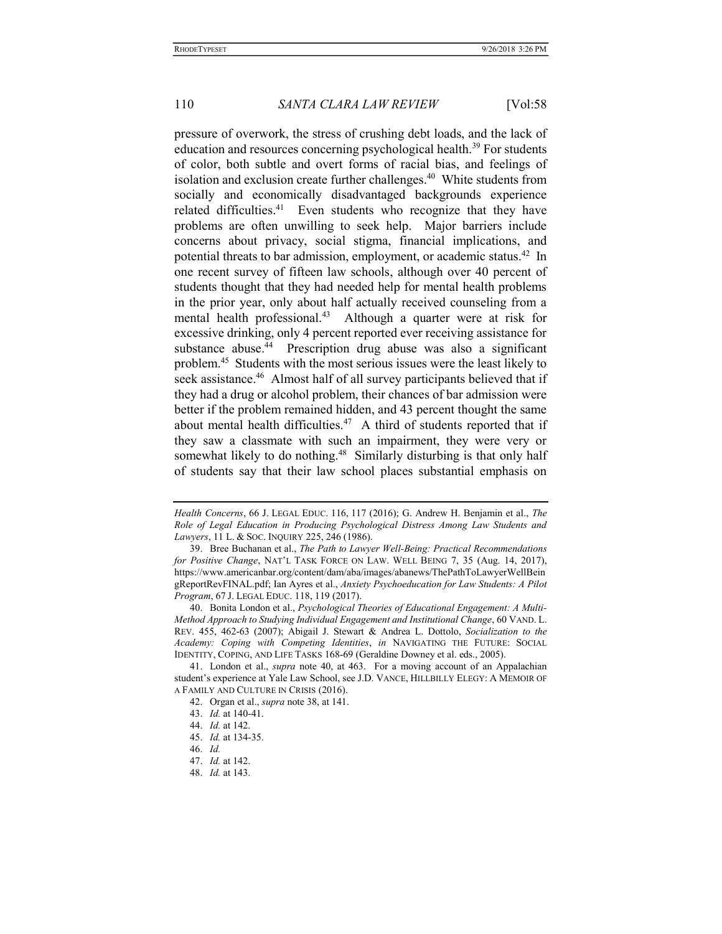pressure of overwork, the stress of crushing debt loads, and the lack of education and resources concerning psychological health.<sup>39</sup> For students of color, both subtle and overt forms of racial bias, and feelings of isolation and exclusion create further challenges.<sup>40</sup> White students from socially and economically disadvantaged backgrounds experience related difficulties.<sup>41</sup> Even students who recognize that they have problems are often unwilling to seek help. Major barriers include concerns about privacy, social stigma, financial implications, and potential threats to bar admission, employment, or academic status.<sup>42</sup> In one recent survey of fifteen law schools, although over 40 percent of students thought that they had needed help for mental health problems in the prior year, only about half actually received counseling from a mental health professional.<sup>43</sup> Although a quarter were at risk for excessive drinking, only 4 percent reported ever receiving assistance for substance abuse.<sup>44</sup> Prescription drug abuse was also a significant problem.<sup>45</sup> Students with the most serious issues were the least likely to seek assistance.<sup>46</sup> Almost half of all survey participants believed that if they had a drug or alcohol problem, their chances of bar admission were better if the problem remained hidden, and 43 percent thought the same about mental health difficulties.<sup>47</sup> A third of students reported that if they saw a classmate with such an impairment, they were very or somewhat likely to do nothing.<sup>48</sup> Similarly disturbing is that only half of students say that their law school places substantial emphasis on

Health Concerns, 66 J. LEGAL EDUC. 116, 117 (2016); G. Andrew H. Benjamin et al., The Role of Legal Education in Producing Psychological Distress Among Law Students and Lawyers, 11 L. & SOC. INQUIRY 225, 246 (1986).

 <sup>39.</sup> Bree Buchanan et al., The Path to Lawyer Well-Being: Practical Recommendations for Positive Change, NAT'L TASK FORCE ON LAW. WELL BEING 7, 35 (Aug. 14, 2017), https://www.americanbar.org/content/dam/aba/images/abanews/ThePathToLawyerWellBein gReportRevFINAL.pdf; Ian Ayres et al., Anxiety Psychoeducation for Law Students: A Pilot Program, 67 J. LEGAL EDUC. 118, 119 (2017).

 <sup>40.</sup> Bonita London et al., Psychological Theories of Educational Engagement: A Multi-Method Approach to Studying Individual Engagement and Institutional Change, 60 VAND. L. REV. 455, 462-63 (2007); Abigail J. Stewart & Andrea L. Dottolo, Socialization to the Academy: Coping with Competing Identities, in NAVIGATING THE FUTURE: SOCIAL IDENTITY, COPING, AND LIFE TASKS 168-69 (Geraldine Downey et al. eds., 2005).

<sup>41.</sup> London et al., *supra* note 40, at 463. For a moving account of an Appalachian student's experience at Yale Law School, see J.D. VANCE, HILLBILLY ELEGY: A MEMOIR OF A FAMILY AND CULTURE IN CRISIS (2016).

 <sup>42.</sup> Organ et al., supra note 38, at 141.

 <sup>43.</sup> Id. at 140-41.

 <sup>44.</sup> Id. at 142.

 <sup>45.</sup> Id. at 134-35.

 <sup>46.</sup> Id.

 <sup>47.</sup> Id. at 142.

 <sup>48.</sup> Id. at 143.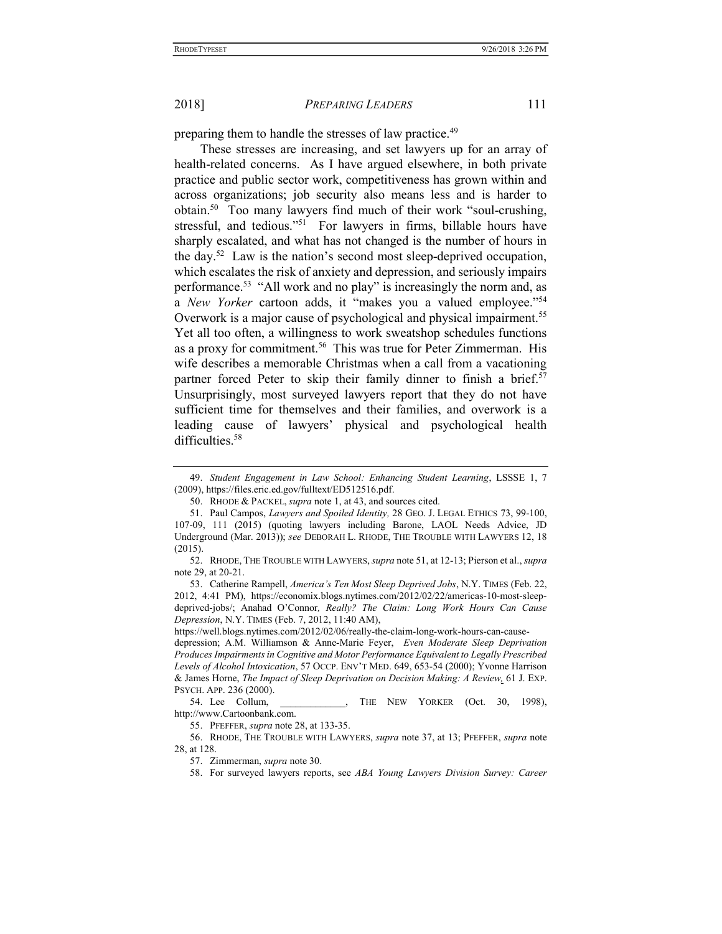preparing them to handle the stresses of law practice.<sup>49</sup>

These stresses are increasing, and set lawyers up for an array of health-related concerns. As I have argued elsewhere, in both private practice and public sector work, competitiveness has grown within and across organizations; job security also means less and is harder to obtain.<sup>50</sup> Too many lawyers find much of their work "soul-crushing, stressful, and tedious."<sup>51</sup> For lawyers in firms, billable hours have sharply escalated, and what has not changed is the number of hours in the day.<sup>52</sup> Law is the nation's second most sleep-deprived occupation, which escalates the risk of anxiety and depression, and seriously impairs performance.<sup>53</sup> "All work and no play" is increasingly the norm and, as a New Yorker cartoon adds, it "makes you a valued employee."<sup>54</sup> Overwork is a major cause of psychological and physical impairment.<sup>55</sup> Yet all too often, a willingness to work sweatshop schedules functions as a proxy for commitment.<sup>56</sup> This was true for Peter Zimmerman. His wife describes a memorable Christmas when a call from a vacationing partner forced Peter to skip their family dinner to finish a brief.<sup>57</sup> Unsurprisingly, most surveyed lawyers report that they do not have sufficient time for themselves and their families, and overwork is a leading cause of lawyers' physical and psychological health difficulties.<sup>58</sup>

 <sup>49.</sup> Student Engagement in Law School: Enhancing Student Learning, LSSSE 1, 7 (2009), https://files.eric.ed.gov/fulltext/ED512516.pdf.

<sup>50.</sup> RHODE & PACKEL, *supra* note 1, at 43, and sources cited.

<sup>51.</sup> Paul Campos, Lawyers and Spoiled Identity, 28 GEO. J. LEGAL ETHICS 73, 99-100, 107-09, 111 (2015) (quoting lawyers including Barone, LAOL Needs Advice, JD Underground (Mar. 2013)); see DEBORAH L. RHODE, THE TROUBLE WITH LAWYERS 12, 18 (2015).

<sup>52.</sup> RHODE, THE TROUBLE WITH LAWYERS, *supra* note 51, at 12-13; Pierson et al., *supra* note 29, at 20-21.

 <sup>53.</sup> Catherine Rampell, America's Ten Most Sleep Deprived Jobs, N.Y. TIMES (Feb. 22, 2012, 4:41 PM), https://economix.blogs.nytimes.com/2012/02/22/americas-10-most-sleepdeprived-jobs/; Anahad O'Connor, Really? The Claim: Long Work Hours Can Cause Depression, N.Y. TIMES (Feb. 7, 2012, 11:40 AM),

https://well.blogs.nytimes.com/2012/02/06/really-the-claim-long-work-hours-can-cause-

depression; A.M. Williamson & Anne-Marie Feyer, Even Moderate Sleep Deprivation Produces Impairments in Cognitive and Motor Performance Equivalent to Legally Prescribed Levels of Alcohol Intoxication, 57 OCCP. ENV'T MED. 649, 653-54 (2000); Yvonne Harrison & James Horne, The Impact of Sleep Deprivation on Decision Making: A Review, 61 J. EXP. PSYCH. APP. 236 (2000).<br>54. Lee Collum,

THE NEW YORKER (Oct. 30, 1998), http://www.Cartoonbank.com.

 <sup>55.</sup> PFEFFER, supra note 28, at 133-35.

<sup>56.</sup> RHODE, THE TROUBLE WITH LAWYERS, supra note 37, at 13; PFEFFER, supra note 28, at 128.

 <sup>57.</sup> Zimmerman, supra note 30.

 <sup>58.</sup> For surveyed lawyers reports, see ABA Young Lawyers Division Survey: Career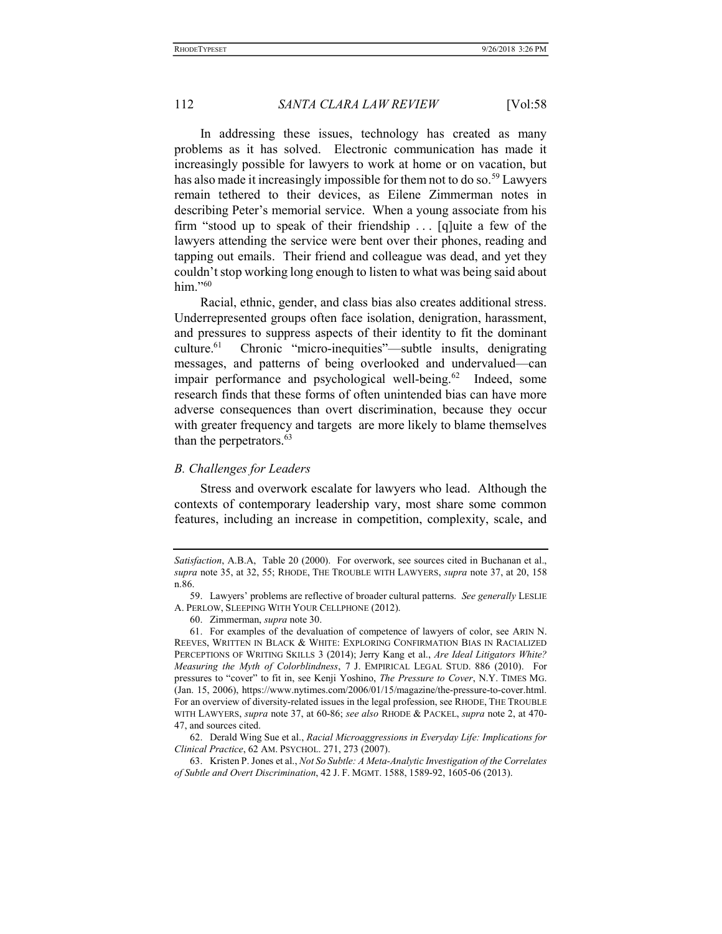In addressing these issues, technology has created as many problems as it has solved. Electronic communication has made it increasingly possible for lawyers to work at home or on vacation, but has also made it increasingly impossible for them not to do so.<sup>59</sup> Lawyers remain tethered to their devices, as Eilene Zimmerman notes in describing Peter's memorial service. When a young associate from his firm "stood up to speak of their friendship . . . [q]uite a few of the lawyers attending the service were bent over their phones, reading and tapping out emails. Their friend and colleague was dead, and yet they couldn't stop working long enough to listen to what was being said about him."60

Racial, ethnic, gender, and class bias also creates additional stress. Underrepresented groups often face isolation, denigration, harassment, and pressures to suppress aspects of their identity to fit the dominant culture.<sup>61</sup> Chronic "micro-inequities"—subtle insults, denigrating messages, and patterns of being overlooked and undervalued—can impair performance and psychological well-being.<sup>62</sup> Indeed, some research finds that these forms of often unintended bias can have more adverse consequences than overt discrimination, because they occur with greater frequency and targets are more likely to blame themselves than the perpetrators.<sup>63</sup>

#### B. Challenges for Leaders

Stress and overwork escalate for lawyers who lead. Although the contexts of contemporary leadership vary, most share some common features, including an increase in competition, complexity, scale, and

Satisfaction, A.B.A, Table 20 (2000). For overwork, see sources cited in Buchanan et al., supra note 35, at 32, 55; RHODE, THE TROUBLE WITH LAWYERS, supra note 37, at 20, 158 n.86.

<sup>59.</sup> Lawyers' problems are reflective of broader cultural patterns. See generally LESLIE A. PERLOW, SLEEPING WITH YOUR CELLPHONE (2012).

 <sup>60.</sup> Zimmerman, supra note 30.

 <sup>61.</sup> For examples of the devaluation of competence of lawyers of color, see ARIN N. REEVES, WRITTEN IN BLACK & WHITE: EXPLORING CONFIRMATION BIAS IN RACIALIZED PERCEPTIONS OF WRITING SKILLS 3 (2014); Jerry Kang et al., Are Ideal Litigators White? Measuring the Myth of Colorblindness, 7 J. EMPIRICAL LEGAL STUD. 886 (2010). For pressures to "cover" to fit in, see Kenji Yoshino, The Pressure to Cover, N.Y. TIMES MG. (Jan. 15, 2006), https://www.nytimes.com/2006/01/15/magazine/the-pressure-to-cover.html. For an overview of diversity-related issues in the legal profession, see RHODE, THE TROUBLE WITH LAWYERS, supra note 37, at 60-86; see also RHODE & PACKEL, supra note 2, at 470- 47, and sources cited.

 <sup>62.</sup> Derald Wing Sue et al., Racial Microaggressions in Everyday Life: Implications for Clinical Practice, 62 AM. PSYCHOL. 271, 273 (2007).

 <sup>63.</sup> Kristen P. Jones et al., Not So Subtle: A Meta-Analytic Investigation of the Correlates of Subtle and Overt Discrimination, 42 J. F. MGMT. 1588, 1589-92, 1605-06 (2013).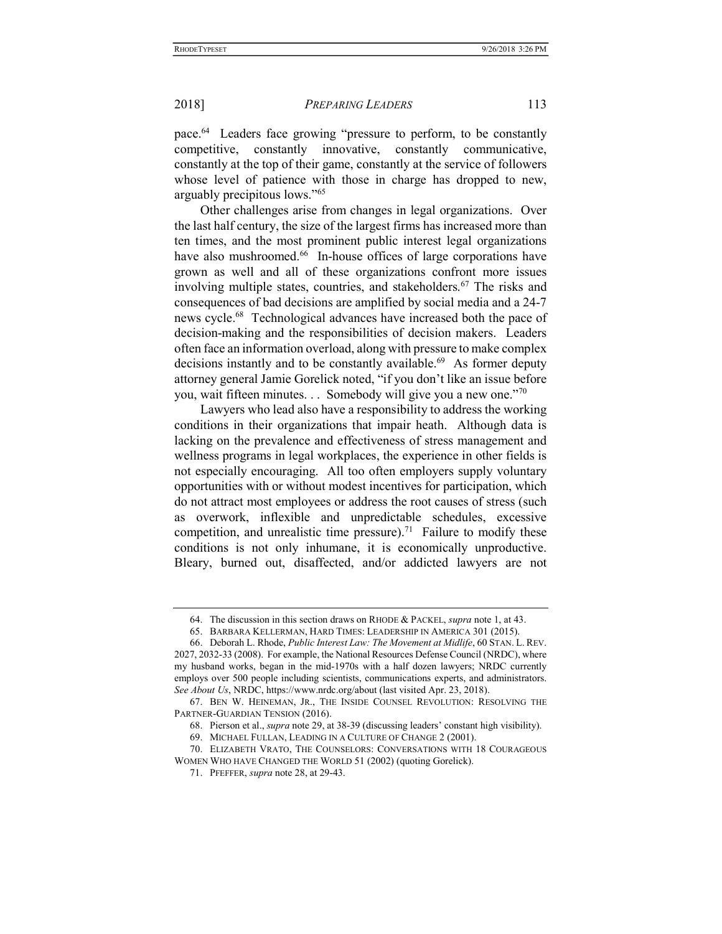pace.<sup>64</sup> Leaders face growing "pressure to perform, to be constantly competitive, constantly innovative, constantly communicative, constantly at the top of their game, constantly at the service of followers whose level of patience with those in charge has dropped to new, arguably precipitous lows."<sup>65</sup>

Other challenges arise from changes in legal organizations. Over the last half century, the size of the largest firms has increased more than ten times, and the most prominent public interest legal organizations have also mushroomed.<sup>66</sup> In-house offices of large corporations have grown as well and all of these organizations confront more issues involving multiple states, countries, and stakeholders.<sup>67</sup> The risks and consequences of bad decisions are amplified by social media and a 24-7 news cycle.<sup>68</sup> Technological advances have increased both the pace of decision-making and the responsibilities of decision makers. Leaders often face an information overload, along with pressure to make complex decisions instantly and to be constantly available.<sup>69</sup> As former deputy attorney general Jamie Gorelick noted, "if you don't like an issue before you, wait fifteen minutes. . . Somebody will give you a new one."<sup>70</sup>

Lawyers who lead also have a responsibility to address the working conditions in their organizations that impair heath. Although data is lacking on the prevalence and effectiveness of stress management and wellness programs in legal workplaces, the experience in other fields is not especially encouraging. All too often employers supply voluntary opportunities with or without modest incentives for participation, which do not attract most employees or address the root causes of stress (such as overwork, inflexible and unpredictable schedules, excessive competition, and unrealistic time pressure).<sup>71</sup> Failure to modify these conditions is not only inhumane, it is economically unproductive. Bleary, burned out, disaffected, and/or addicted lawyers are not

 <sup>64.</sup> The discussion in this section draws on RHODE & PACKEL, supra note 1, at 43.

 <sup>65.</sup> BARBARA KELLERMAN, HARD TIMES: LEADERSHIP IN AMERICA 301 (2015).

 <sup>66.</sup> Deborah L. Rhode, Public Interest Law: The Movement at Midlife, 60 STAN. L. REV. 2027, 2032-33 (2008). For example, the National Resources Defense Council (NRDC), where my husband works, began in the mid-1970s with a half dozen lawyers; NRDC currently employs over 500 people including scientists, communications experts, and administrators. See About Us, NRDC, https://www.nrdc.org/about (last visited Apr. 23, 2018).

 <sup>67.</sup> BEN W. HEINEMAN, JR., THE INSIDE COUNSEL REVOLUTION: RESOLVING THE PARTNER-GUARDIAN TENSION (2016).

 <sup>68.</sup> Pierson et al., supra note 29, at 38-39 (discussing leaders' constant high visibility).

 <sup>69.</sup> MICHAEL FULLAN, LEADING IN A CULTURE OF CHANGE 2 (2001).

 <sup>70.</sup> ELIZABETH VRATO, THE COUNSELORS: CONVERSATIONS WITH 18 COURAGEOUS WOMEN WHO HAVE CHANGED THE WORLD 51 (2002) (quoting Gorelick).

 <sup>71.</sup> PFEFFER, supra note 28, at 29-43.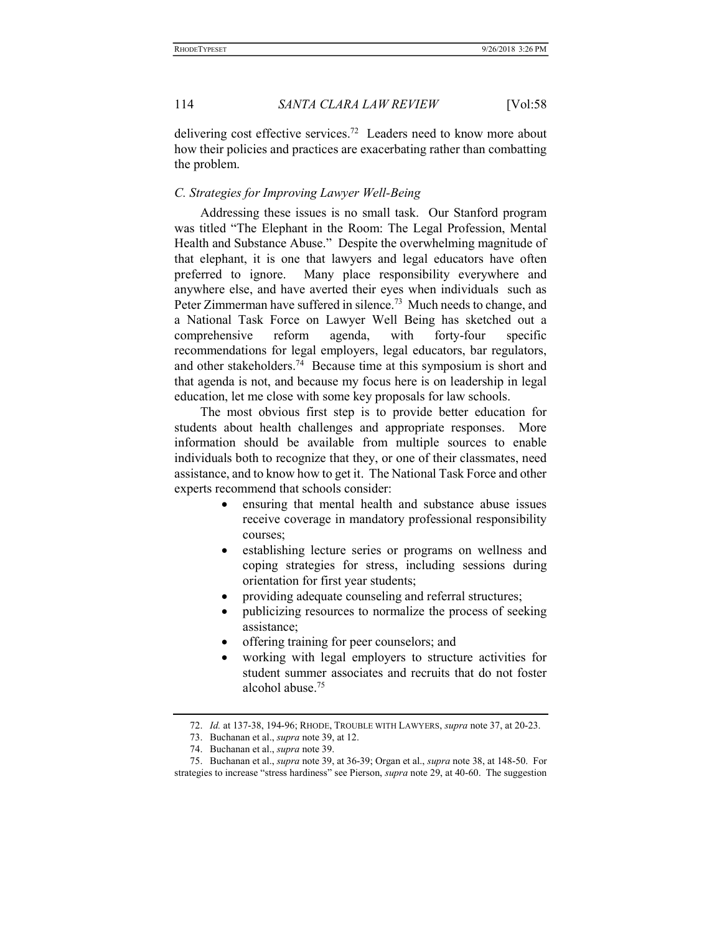delivering cost effective services.<sup>72</sup> Leaders need to know more about how their policies and practices are exacerbating rather than combatting the problem.

# C. Strategies for Improving Lawyer Well-Being

Addressing these issues is no small task. Our Stanford program was titled "The Elephant in the Room: The Legal Profession, Mental Health and Substance Abuse." Despite the overwhelming magnitude of that elephant, it is one that lawyers and legal educators have often preferred to ignore. Many place responsibility everywhere and anywhere else, and have averted their eyes when individuals such as Peter Zimmerman have suffered in silence.<sup>73</sup> Much needs to change, and a National Task Force on Lawyer Well Being has sketched out a comprehensive reform agenda, with forty-four specific recommendations for legal employers, legal educators, bar regulators, and other stakeholders.<sup>74</sup> Because time at this symposium is short and that agenda is not, and because my focus here is on leadership in legal education, let me close with some key proposals for law schools.

The most obvious first step is to provide better education for students about health challenges and appropriate responses. More information should be available from multiple sources to enable individuals both to recognize that they, or one of their classmates, need assistance, and to know how to get it. The National Task Force and other experts recommend that schools consider:

- ensuring that mental health and substance abuse issues receive coverage in mandatory professional responsibility courses;
- establishing lecture series or programs on wellness and coping strategies for stress, including sessions during orientation for first year students;
- providing adequate counseling and referral structures;
- publicizing resources to normalize the process of seeking assistance;
- offering training for peer counselors; and
- working with legal employers to structure activities for student summer associates and recruits that do not foster alcohol abuse.<sup>75</sup>

<sup>72.</sup> Id. at 137-38, 194-96; RHODE, TROUBLE WITH LAWYERS, *supra* note 37, at 20-23.

 <sup>73.</sup> Buchanan et al., supra note 39, at 12.

 <sup>74.</sup> Buchanan et al., supra note 39.

 <sup>75.</sup> Buchanan et al., supra note 39, at 36-39; Organ et al., supra note 38, at 148-50. For strategies to increase "stress hardiness" see Pierson, supra note 29, at 40-60. The suggestion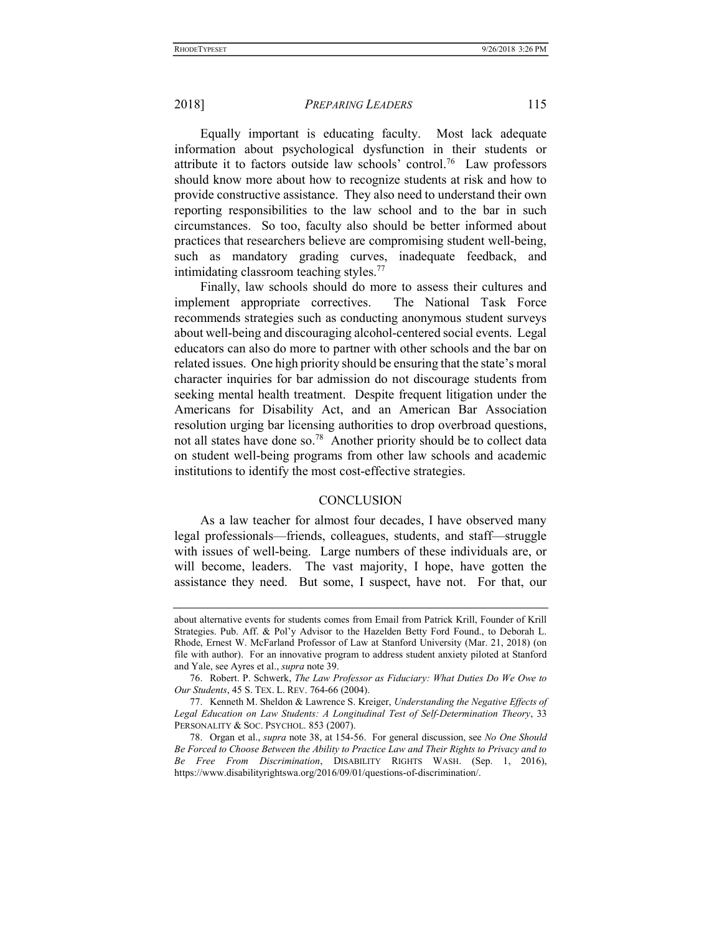Equally important is educating faculty. Most lack adequate information about psychological dysfunction in their students or attribute it to factors outside law schools' control.<sup>76</sup> Law professors should know more about how to recognize students at risk and how to provide constructive assistance. They also need to understand their own reporting responsibilities to the law school and to the bar in such circumstances. So too, faculty also should be better informed about practices that researchers believe are compromising student well-being, such as mandatory grading curves, inadequate feedback, and intimidating classroom teaching styles.<sup>77</sup>

Finally, law schools should do more to assess their cultures and implement appropriate correctives. The National Task Force recommends strategies such as conducting anonymous student surveys about well-being and discouraging alcohol-centered social events. Legal educators can also do more to partner with other schools and the bar on related issues. One high priority should be ensuring that the state's moral character inquiries for bar admission do not discourage students from seeking mental health treatment. Despite frequent litigation under the Americans for Disability Act, and an American Bar Association resolution urging bar licensing authorities to drop overbroad questions, not all states have done so.<sup>78</sup> Another priority should be to collect data on student well-being programs from other law schools and academic institutions to identify the most cost-effective strategies.

# **CONCLUSION**

As a law teacher for almost four decades, I have observed many legal professionals—friends, colleagues, students, and staff—struggle with issues of well-being. Large numbers of these individuals are, or will become, leaders. The vast majority, I hope, have gotten the assistance they need. But some, I suspect, have not. For that, our

about alternative events for students comes from Email from Patrick Krill, Founder of Krill Strategies. Pub. Aff. & Pol'y Advisor to the Hazelden Betty Ford Found., to Deborah L. Rhode, Ernest W. McFarland Professor of Law at Stanford University (Mar. 21, 2018) (on file with author). For an innovative program to address student anxiety piloted at Stanford and Yale, see Ayres et al., supra note 39.

 <sup>76.</sup> Robert. P. Schwerk, The Law Professor as Fiduciary: What Duties Do We Owe to Our Students, 45 S. TEX. L. REV. 764-66 (2004).

<sup>77.</sup> Kenneth M. Sheldon & Lawrence S. Kreiger, Understanding the Negative Effects of Legal Education on Law Students: A Longitudinal Test of Self-Determination Theory, 33 PERSONALITY & SOC. PSYCHOL. 853 (2007).

 <sup>78.</sup> Organ et al., supra note 38, at 154-56. For general discussion, see No One Should Be Forced to Choose Between the Ability to Practice Law and Their Rights to Privacy and to Be Free From Discrimination, DISABILITY RIGHTS WASH. (Sep. 1, 2016), https://www.disabilityrightswa.org/2016/09/01/questions-of-discrimination/.